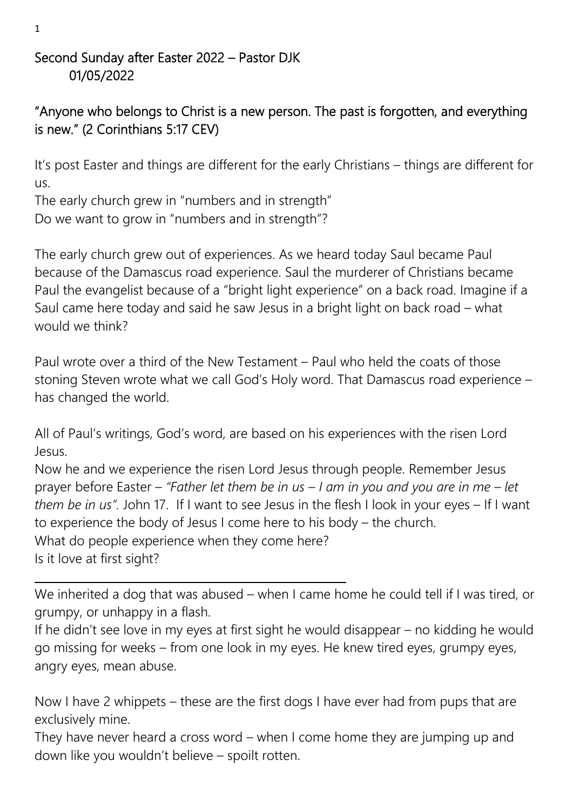#### Second Sunday after Easter 2022 – Pastor DJK 01/05/2022

# "Anyone who belongs to Christ is a new person. The past is forgotten, and everything is new." (2 Corinthians 5:17 CEV)

It's post Easter and things are different for the early Christians – things are different for us.

The early church grew in "numbers and in strength" Do we want to grow in "numbers and in strength"?

The early church grew out of experiences. As we heard today Saul became Paul because of the Damascus road experience. Saul the murderer of Christians became Paul the evangelist because of a "bright light experience" on a back road. Imagine if a Saul came here today and said he saw Jesus in a bright light on back road – what would we think?

Paul wrote over a third of the New Testament – Paul who held the coats of those stoning Steven wrote what we call God's Holy word. That Damascus road experience – has changed the world.

All of Paul's writings, God's word, are based on his experiences with the risen Lord Jesus.

Now he and we experience the risen Lord Jesus through people. Remember Jesus prayer before Easter – *"Father let them be in us – I am in you and you are in me – let them be in us".* John 17. If I want to see Jesus in the flesh I look in your eyes – If I want to experience the body of Jesus I come here to his body – the church. What do people experience when they come here? Is it love at first sight?

We inherited a dog that was abused – when I came home he could tell if I was tired, or grumpy, or unhappy in a flash.

If he didn't see love in my eyes at first sight he would disappear – no kidding he would go missing for weeks – from one look in my eyes. He knew tired eyes, grumpy eyes, angry eyes, mean abuse.

Now I have 2 whippets – these are the first dogs I have ever had from pups that are exclusively mine.

They have never heard a cross word – when I come home they are jumping up and down like you wouldn't believe – spoilt rotten.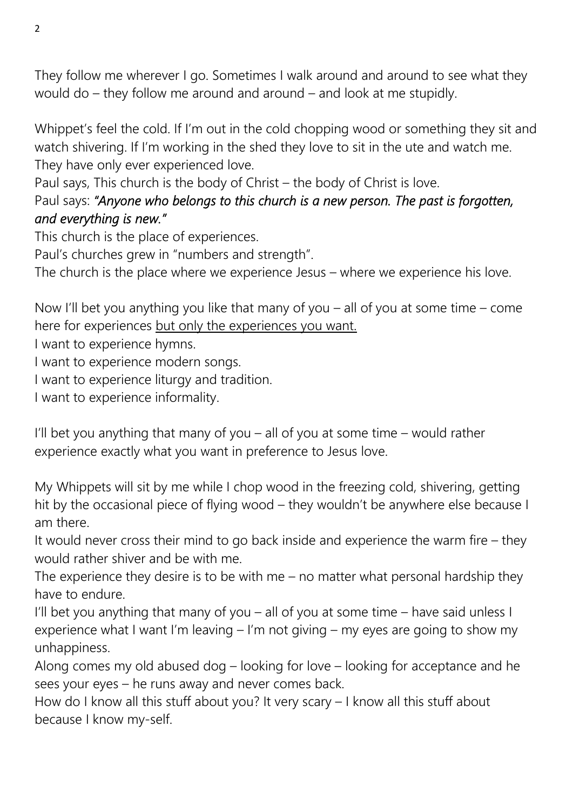They follow me wherever I go. Sometimes I walk around and around to see what they would do – they follow me around and around – and look at me stupidly.

Whippet's feel the cold. If I'm out in the cold chopping wood or something they sit and watch shivering. If I'm working in the shed they love to sit in the ute and watch me. They have only ever experienced love.

Paul says, This church is the body of Christ – the body of Christ is love.

# Paul says: *"Anyone who belongs to this church is a new person. The past is forgotten, and everything is new."*

This church is the place of experiences.

Paul's churches grew in "numbers and strength".

The church is the place where we experience Jesus – where we experience his love.

Now I'll bet you anything you like that many of you – all of you at some time – come here for experiences but only the experiences you want.

I want to experience hymns.

I want to experience modern songs.

I want to experience liturgy and tradition.

I want to experience informality.

I'll bet you anything that many of you – all of you at some time – would rather experience exactly what you want in preference to Jesus love.

My Whippets will sit by me while I chop wood in the freezing cold, shivering, getting hit by the occasional piece of flying wood – they wouldn't be anywhere else because I am there.

It would never cross their mind to go back inside and experience the warm fire – they would rather shiver and be with me.

The experience they desire is to be with me  $-$  no matter what personal hardship they have to endure.

I'll bet you anything that many of you – all of you at some time – have said unless I experience what I want I'm leaving – I'm not giving – my eyes are going to show my unhappiness.

Along comes my old abused dog – looking for love – looking for acceptance and he sees your eyes – he runs away and never comes back.

How do I know all this stuff about you? It very scary – I know all this stuff about because I know my-self.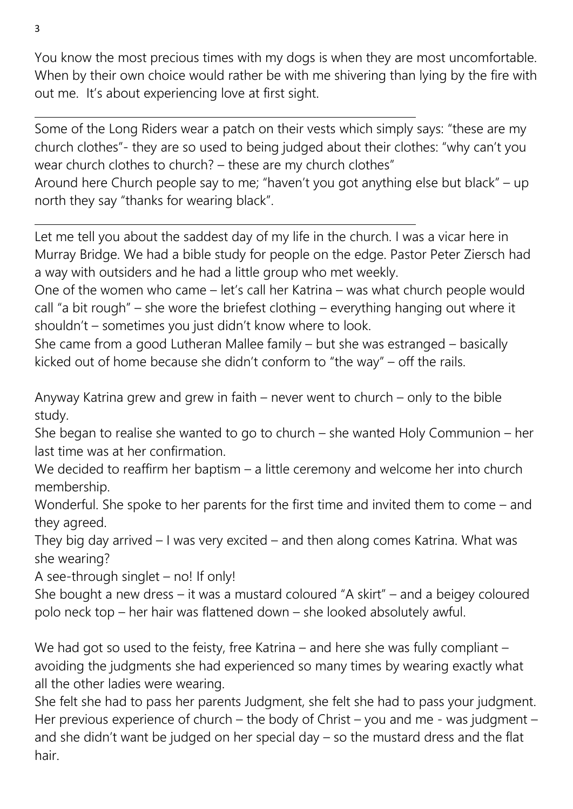You know the most precious times with my dogs is when they are most uncomfortable. When by their own choice would rather be with me shivering than lying by the fire with out me. It's about experiencing love at first sight.

Some of the Long Riders wear a patch on their vests which simply says: "these are my church clothes"- they are so used to being judged about their clothes: "why can't you wear church clothes to church? – these are my church clothes"

Around here Church people say to me; "haven't you got anything else but black" – up north they say "thanks for wearing black".

Let me tell you about the saddest day of my life in the church. I was a vicar here in Murray Bridge. We had a bible study for people on the edge. Pastor Peter Ziersch had a way with outsiders and he had a little group who met weekly.

One of the women who came – let's call her Katrina – was what church people would call "a bit rough" – she wore the briefest clothing – everything hanging out where it shouldn't – sometimes you just didn't know where to look.

She came from a good Lutheran Mallee family – but she was estranged – basically kicked out of home because she didn't conform to "the way" – off the rails.

Anyway Katrina grew and grew in faith – never went to church – only to the bible study.

She began to realise she wanted to go to church – she wanted Holy Communion – her last time was at her confirmation.

We decided to reaffirm her baptism – a little ceremony and welcome her into church membership.

Wonderful. She spoke to her parents for the first time and invited them to come – and they agreed.

They big day arrived – I was very excited – and then along comes Katrina. What was she wearing?

A see-through singlet – no! If only!

She bought a new dress – it was a mustard coloured "A skirt" – and a beigey coloured polo neck top – her hair was flattened down – she looked absolutely awful.

We had got so used to the feisty, free Katrina – and here she was fully compliant – avoiding the judgments she had experienced so many times by wearing exactly what all the other ladies were wearing.

She felt she had to pass her parents Judgment, she felt she had to pass your judgment. Her previous experience of church – the body of Christ – you and me - was judgment – and she didn't want be judged on her special day – so the mustard dress and the flat hair.